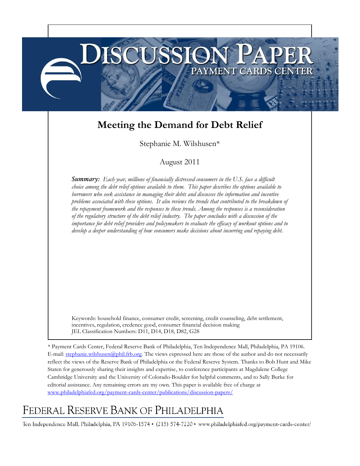# **Meeting the Demand for Debt Relief**

**USSSION** 

PAYMENT CARDS CENTER

Stephanie M. Wilshusen\*

# August 2011

*Summary: Each year, millions of financially distressed consumers in the U.S. face a difficult choice among the debt relief options available to them. This paper describes the options available to borrowers who seek assistance in managing their debts and discusses the information and incentive problems associated with these options. It also reviews the trends that contributed to the breakdown of the repayment framework and the responses to these trends. Among the responses is a reconsideration of the regulatory structure of the debt relief industry. The paper concludes with a discussion of the importance for debt relief providers and policymakers to evaluate the efficacy of workout options and to develop a deeper understanding of how consumers make decisions about incurring and repaying debt.*

Keywords: household finance, consumer credit, screening, credit counseling, debt settlement, incentives, regulation, credence good, consumer financial decision making JEL Classification Numbers: D11, D14, D18, D82, G28

\* Payment Cards Center, Federal Reserve Bank of Philadelphia, Ten Independence Mall, Philadelphia, PA 19106. E-mail[: stephanie.wilshusen@phil.frb.org.](mailto:stephanie.wilshusen@phil.frb.org) The views expressed here are those of the author and do not necessarily reflect the views of the Reserve Bank of Philadelphia or the Federal Reserve System. Thanks to Bob Hunt and Mike Staten for generously sharing their insights and expertise, to conference participants at Magdalene College Cambridge University and the University of Colorado-Boulder for helpful comments, and to Sally Burke for editorial assistance. Any remaining errors are my own. This paper is available free of charge at [www.philadelphiafed.org/payment-cards-center/publications/discussion-papers/](http://www.philadelphiafed.org/payment-cards-center/publications/discussion-papers/)

# $\Gamma$ JESERVE DANK C

Ten Independence Mall, Philadelphia, PA 19106-1574 • (215) 574-7220 • www.philadelphiafed.org/payment-cards-center/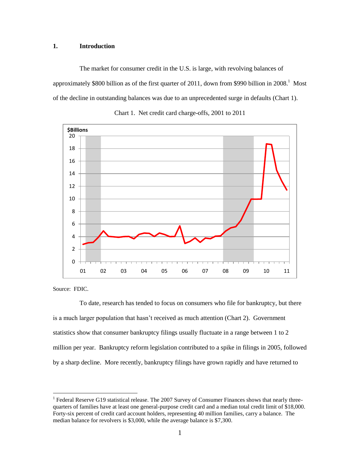## **1. Introduction**

The market for consumer credit in the U.S. is large, with revolving balances of approximately \$800 billion as of the first quarter of 2011, down from \$990 billion in 2008.<sup>1</sup> Most of the decline in outstanding balances was due to an unprecedented surge in defaults (Chart 1).





Source: FDIC.

 $\overline{a}$ 

To date, research has tended to focus on consumers who file for bankruptcy, but there is a much larger population that hasn't received as much attention (Chart 2). Government statistics show that consumer bankruptcy filings usually fluctuate in a range between 1 to 2 million per year. Bankruptcy reform legislation contributed to a spike in filings in 2005, followed by a sharp decline. More recently, bankruptcy filings have grown rapidly and have returned to

<sup>&</sup>lt;sup>1</sup> Federal Reserve G19 statistical release. The 2007 Survey of Consumer Finances shows that nearly threequarters of families have at least one general-purpose credit card and a median total credit limit of \$18,000. Forty-six percent of credit card account holders, representing 40 million families, carry a balance. The median balance for revolvers is \$3,000, while the average balance is \$7,300.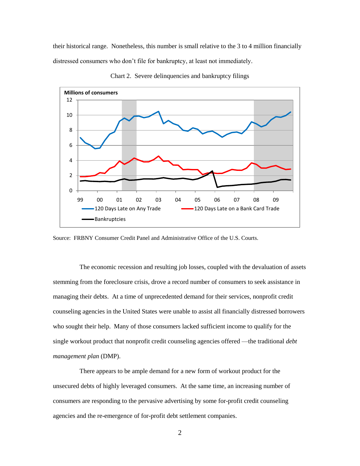their historical range. Nonetheless, this number is small relative to the 3 to 4 million financially distressed consumers who don't file for bankruptcy, at least not immediately.



Chart 2. Severe delinquencies and bankruptcy filings

Source: FRBNY Consumer Credit Panel and Administrative Office of the U.S. Courts.

The economic recession and resulting job losses, coupled with the devaluation of assets stemming from the foreclosure crisis, drove a record number of consumers to seek assistance in managing their debts. At a time of unprecedented demand for their services, nonprofit credit counseling agencies in the United States were unable to assist all financially distressed borrowers who sought their help. Many of those consumers lacked sufficient income to qualify for the single workout product that nonprofit credit counseling agencies offered —the traditional *debt management plan* (DMP).

There appears to be ample demand for a new form of workout product for the unsecured debts of highly leveraged consumers. At the same time, an increasing number of consumers are responding to the pervasive advertising by some for-profit credit counseling agencies and the re-emergence of for-profit debt settlement companies.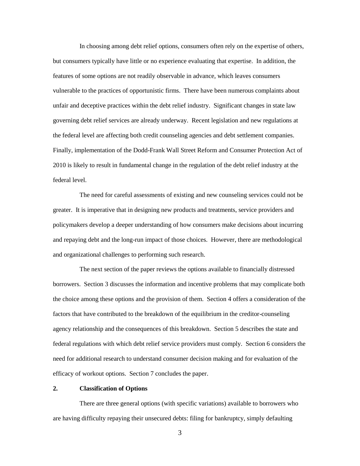In choosing among debt relief options, consumers often rely on the expertise of others, but consumers typically have little or no experience evaluating that expertise. In addition, the features of some options are not readily observable in advance, which leaves consumers vulnerable to the practices of opportunistic firms. There have been numerous complaints about unfair and deceptive practices within the debt relief industry. Significant changes in state law governing debt relief services are already underway. Recent legislation and new regulations at the federal level are affecting both credit counseling agencies and debt settlement companies. Finally, implementation of the Dodd-Frank Wall Street Reform and Consumer Protection Act of 2010 is likely to result in fundamental change in the regulation of the debt relief industry at the federal level.

The need for careful assessments of existing and new counseling services could not be greater. It is imperative that in designing new products and treatments, service providers and policymakers develop a deeper understanding of how consumers make decisions about incurring and repaying debt and the long-run impact of those choices. However, there are methodological and organizational challenges to performing such research.

The next section of the paper reviews the options available to financially distressed borrowers. Section 3 discusses the information and incentive problems that may complicate both the choice among these options and the provision of them. Section 4 offers a consideration of the factors that have contributed to the breakdown of the equilibrium in the creditor-counseling agency relationship and the consequences of this breakdown. Section 5 describes the state and federal regulations with which debt relief service providers must comply. Section 6 considers the need for additional research to understand consumer decision making and for evaluation of the efficacy of workout options. Section 7 concludes the paper.

# **2. Classification of Options**

There are three general options (with specific variations) available to borrowers who are having difficulty repaying their unsecured debts: filing for bankruptcy, simply defaulting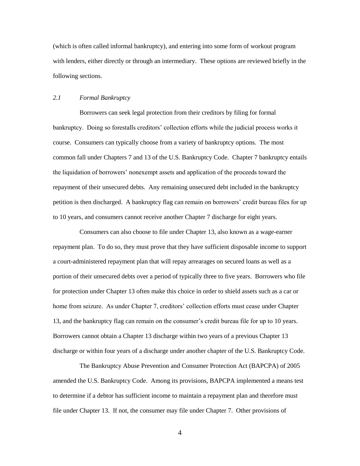(which is often called informal bankruptcy), and entering into some form of workout program with lenders, either directly or through an intermediary. These options are reviewed briefly in the following sections.

# *2.1 Formal Bankruptcy*

Borrowers can seek legal protection from their creditors by filing for formal bankruptcy. Doing so forestalls creditors' collection efforts while the judicial process works it course. Consumers can typically choose from a variety of bankruptcy options. The most common fall under Chapters 7 and 13 of the U.S. Bankruptcy Code. Chapter 7 bankruptcy entails the liquidation of borrowers' nonexempt assets and application of the proceeds toward the repayment of their unsecured debts. Any remaining unsecured debt included in the bankruptcy petition is then discharged. A bankruptcy flag can remain on borrowers' credit bureau files for up to 10 years, and consumers cannot receive another Chapter 7 discharge for eight years.

Consumers can also choose to file under Chapter 13, also known as a wage-earner repayment plan. To do so, they must prove that they have sufficient disposable income to support a court-administered repayment plan that will repay arrearages on secured loans as well as a portion of their unsecured debts over a period of typically three to five years. Borrowers who file for protection under Chapter 13 often make this choice in order to shield assets such as a car or home from seizure. As under Chapter 7, creditors' collection efforts must cease under Chapter 13, and the bankruptcy flag can remain on the consumer's credit bureau file for up to 10 years. Borrowers cannot obtain a Chapter 13 discharge within two years of a previous Chapter 13 discharge or within four years of a discharge under another chapter of the U.S. Bankruptcy Code.

The Bankruptcy Abuse Prevention and Consumer Protection Act (BAPCPA) of 2005 amended the U.S. Bankruptcy Code. Among its provisions, BAPCPA implemented a means test to determine if a debtor has sufficient income to maintain a repayment plan and therefore must file under Chapter 13. If not, the consumer may file under Chapter 7. Other provisions of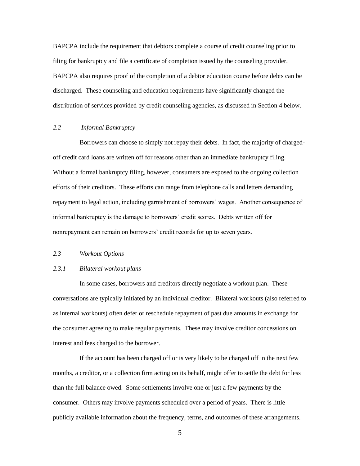BAPCPA include the requirement that debtors complete a course of credit counseling prior to filing for bankruptcy and file a certificate of completion issued by the counseling provider. BAPCPA also requires proof of the completion of a debtor education course before debts can be discharged. These counseling and education requirements have significantly changed the distribution of services provided by credit counseling agencies, as discussed in Section 4 below.

# *2.2 Informal Bankruptcy*

Borrowers can choose to simply not repay their debts. In fact, the majority of chargedoff credit card loans are written off for reasons other than an immediate bankruptcy filing. Without a formal bankruptcy filing, however, consumers are exposed to the ongoing collection efforts of their creditors. These efforts can range from telephone calls and letters demanding repayment to legal action, including garnishment of borrowers' wages. Another consequence of informal bankruptcy is the damage to borrowers' credit scores. Debts written off for nonrepayment can remain on borrowers' credit records for up to seven years.

#### *2.3 Workout Options*

# *2.3.1 Bilateral workout plans*

In some cases, borrowers and creditors directly negotiate a workout plan. These conversations are typically initiated by an individual creditor. Bilateral workouts (also referred to as internal workouts) often defer or reschedule repayment of past due amounts in exchange for the consumer agreeing to make regular payments. These may involve creditor concessions on interest and fees charged to the borrower.

If the account has been charged off or is very likely to be charged off in the next few months, a creditor, or a collection firm acting on its behalf, might offer to settle the debt for less than the full balance owed. Some settlements involve one or just a few payments by the consumer. Others may involve payments scheduled over a period of years. There is little publicly available information about the frequency, terms, and outcomes of these arrangements.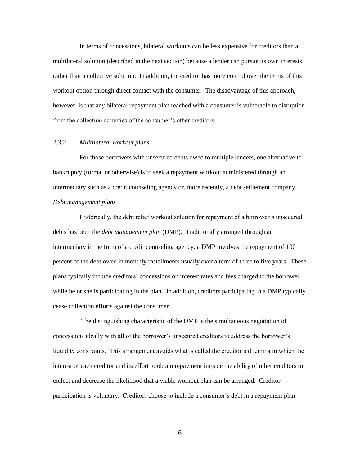In terms of concessions, bilateral workouts can be less expensive for creditors than a multilateral solution (described in the next section) because a lender can pursue its own interests rather than a collective solution. In addition, the creditor has more control over the terms of this workout option through direct contact with the consumer. The disadvantage of this approach, however, is that any bilateral repayment plan reached with a consumer is vulnerable to disruption from the collection activities of the consumer's other creditors.

# *2.3.2 Multilateral workout plans*

For those borrowers with unsecured debts owed to multiple lenders, one alternative to bankruptcy (formal or otherwise) is to seek a repayment workout administered through an intermediary such as a credit counseling agency or, more recently, a debt settlement company. *Debt management plans*

Historically, the debt relief workout solution for repayment of a borrower's unsecured debts has been the *debt management plan* (DMP). Traditionally arranged through an intermediary in the form of a credit counseling agency, a DMP involves the repayment of 100 percent of the debt owed in monthly installments usually over a term of three to five years. These plans typically include creditors' concessions on interest rates and fees charged to the borrower while he or she is participating in the plan. In addition, creditors participating in a DMP typically cease collection efforts against the consumer.

The distinguishing characteristic of the DMP is the simultaneous negotiation of concessions ideally with all of the borrower's unsecured creditors to address the borrower's liquidity constraints. This arrangement avoids what is called the creditor's dilemma in which the interest of each creditor and its effort to obtain repayment impede the ability of other creditors to collect and decrease the likelihood that a viable workout plan can be arranged. Creditor participation is voluntary. Creditors choose to include a consumer's debt in a repayment plan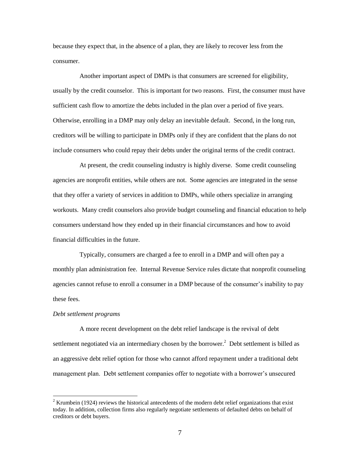because they expect that, in the absence of a plan, they are likely to recover less from the consumer.

Another important aspect of DMPs is that consumers are screened for eligibility, usually by the credit counselor. This is important for two reasons. First, the consumer must have sufficient cash flow to amortize the debts included in the plan over a period of five years. Otherwise, enrolling in a DMP may only delay an inevitable default. Second, in the long run, creditors will be willing to participate in DMPs only if they are confident that the plans do not include consumers who could repay their debts under the original terms of the credit contract.

At present, the credit counseling industry is highly diverse. Some credit counseling agencies are nonprofit entities, while others are not. Some agencies are integrated in the sense that they offer a variety of services in addition to DMPs, while others specialize in arranging workouts. Many credit counselors also provide budget counseling and financial education to help consumers understand how they ended up in their financial circumstances and how to avoid financial difficulties in the future.

Typically, consumers are charged a fee to enroll in a DMP and will often pay a monthly plan administration fee. Internal Revenue Service rules dictate that nonprofit counseling agencies cannot refuse to enroll a consumer in a DMP because of the consumer's inability to pay these fees.

## *Debt settlement programs*

 $\overline{a}$ 

A more recent development on the debt relief landscape is the revival of debt settlement negotiated via an intermediary chosen by the borrower.<sup>2</sup> Debt settlement is billed as an aggressive debt relief option for those who cannot afford repayment under a traditional debt management plan. Debt settlement companies offer to negotiate with a borrower's unsecured

 $2$  Krumbein (1924) reviews the historical antecedents of the modern debt relief organizations that exist today. In addition, collection firms also regularly negotiate settlements of defaulted debts on behalf of creditors or debt buyers.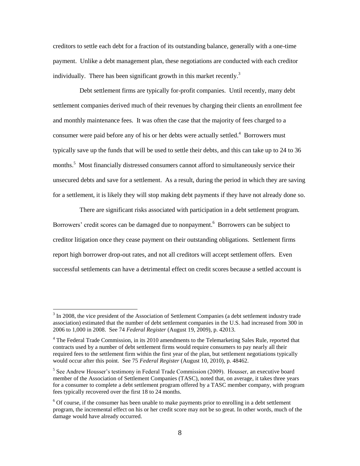creditors to settle each debt for a fraction of its outstanding balance, generally with a one-time payment. Unlike a debt management plan, these negotiations are conducted with each creditor individually. There has been significant growth in this market recently.<sup>3</sup>

Debt settlement firms are typically for-profit companies. Until recently, many debt settlement companies derived much of their revenues by charging their clients an enrollment fee and monthly maintenance fees. It was often the case that the majority of fees charged to a consumer were paid before any of his or her debts were actually settled. $4$  Borrowers must typically save up the funds that will be used to settle their debts, and this can take up to 24 to 36 months.<sup>5</sup> Most financially distressed consumers cannot afford to simultaneously service their unsecured debts and save for a settlement. As a result, during the period in which they are saving for a settlement, it is likely they will stop making debt payments if they have not already done so.

There are significant risks associated with participation in a debt settlement program. Borrowers' credit scores can be damaged due to nonpayment.<sup>6</sup> Borrowers can be subject to creditor litigation once they cease payment on their outstanding obligations. Settlement firms report high borrower drop-out rates, and not all creditors will accept settlement offers. Even successful settlements can have a detrimental effect on credit scores because a settled account is

 $3 \text{ In } 2008$ , the vice president of the Association of Settlement Companies (a debt settlement industry trade association) estimated that the number of debt settlement companies in the U.S. had increased from 300 in 2006 to 1,000 in 2008. See 74 *Federal Register* (August 19, 2009), p. 42013.

 $4$  The Federal Trade Commission, in its 2010 amendments to the Telemarketing Sales Rule, reported that contracts used by a number of debt settlement firms would require consumers to pay nearly all their required fees to the settlement firm within the first year of the plan, but settlement negotiations typically would occur after this point. See 75 *Federal Register* (August 10, 2010), p. 48462.

<sup>&</sup>lt;sup>5</sup> See Andrew Housser's testimony in Federal Trade Commission (2009). Housser, an executive board member of the Association of Settlement Companies (TASC), noted that, on average, it takes three years for a consumer to complete a debt settlement program offered by a TASC member company, with program fees typically recovered over the first 18 to 24 months.

 $6$  Of course, if the consumer has been unable to make payments prior to enrolling in a debt settlement program, the incremental effect on his or her credit score may not be so great. In other words, much of the damage would have already occurred.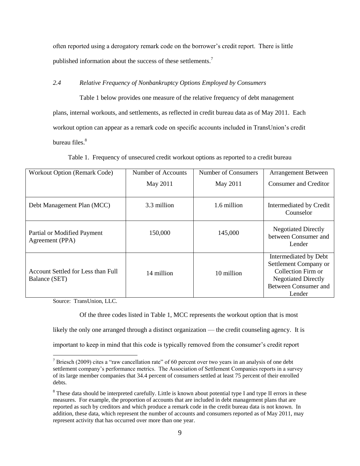often reported using a derogatory remark code on the borrower's credit report. There is little published information about the success of these settlements.<sup>7</sup>

# *2.4 Relative Frequency of Nonbankruptcy Options Employed by Consumers*

Table 1 below provides one measure of the relative frequency of debt management plans, internal workouts, and settlements, as reflected in credit bureau data as of May 2011. Each workout option can appear as a remark code on specific accounts included in TransUnion's credit bureau files.<sup>8</sup>

| Table 1. Frequency of unsecured credit workout options as reported to a credit bureau |  |
|---------------------------------------------------------------------------------------|--|
|---------------------------------------------------------------------------------------|--|

| Workout Option (Remark Code)                        | Number of Accounts | Number of Consumers | <b>Arrangement Between</b>                                                                                                                  |
|-----------------------------------------------------|--------------------|---------------------|---------------------------------------------------------------------------------------------------------------------------------------------|
|                                                     | May 2011           | May 2011            | Consumer and Creditor                                                                                                                       |
| Debt Management Plan (MCC)                          | 3.3 million        | 1.6 million         | Intermediated by Credit<br>Counselor                                                                                                        |
| Partial or Modified Payment<br>Agreement (PPA)      | 150,000            | 145,000             | <b>Negotiated Directly</b><br>between Consumer and<br>Lender                                                                                |
| Account Settled for Less than Full<br>Balance (SET) | 14 million         | 10 million          | Intermediated by Debt<br>Settlement Company or<br>Collection Firm or<br><b>Negotiated Directly</b><br><b>Between Consumer and</b><br>Lender |

Source: TransUnion, LLC.

 $\overline{a}$ 

Of the three codes listed in Table 1, MCC represents the workout option that is most

likely the only one arranged through a distinct organization — the credit counseling agency. It is

important to keep in mind that this code is typically removed from the consumer's credit report

 $7$  Briesch (2009) cites a "raw cancellation rate" of 60 percent over two years in an analysis of one debt settlement company's performance metrics. The Association of Settlement Companies reports in a survey of its large member companies that 34.4 percent of consumers settled at least 75 percent of their enrolled debts.

<sup>&</sup>lt;sup>8</sup> These data should be interpreted carefully. Little is known about potential type I and type II errors in these measures. For example, the proportion of accounts that are included in debt management plans that are reported as such by creditors and which produce a remark code in the credit bureau data is not known. In addition, these data, which represent the number of accounts and consumers reported as of May 2011, may represent activity that has occurred over more than one year.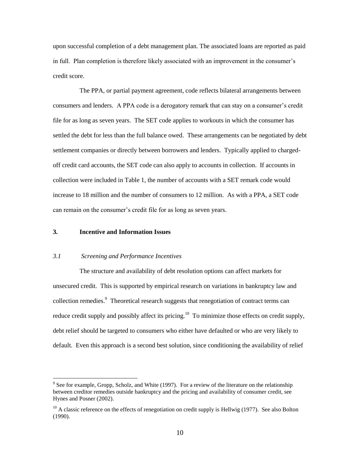upon successful completion of a debt management plan. The associated loans are reported as paid in full. Plan completion is therefore likely associated with an improvement in the consumer's credit score.

The PPA, or partial payment agreement, code reflects bilateral arrangements between consumers and lenders. A PPA code is a derogatory remark that can stay on a consumer's credit file for as long as seven years. The SET code applies to workouts in which the consumer has settled the debt for less than the full balance owed. These arrangements can be negotiated by debt settlement companies or directly between borrowers and lenders. Typically applied to chargedoff credit card accounts, the SET code can also apply to accounts in collection. If accounts in collection were included in Table 1, the number of accounts with a SET remark code would increase to 18 million and the number of consumers to 12 million. As with a PPA, a SET code can remain on the consumer's credit file for as long as seven years.

#### **3. Incentive and Information Issues**

 $\overline{a}$ 

# *3.1 Screening and Performance Incentives*

The structure and availability of debt resolution options can affect markets for unsecured credit. This is supported by empirical research on variations in bankruptcy law and collection remedies. 9 Theoretical research suggests that renegotiation of contract terms can reduce credit supply and possibly affect its pricing.<sup>10</sup> To minimize those effects on credit supply, debt relief should be targeted to consumers who either have defaulted or who are very likely to default. Even this approach is a second best solution, since conditioning the availability of relief

 $9^9$  See for example, Gropp, Scholz, and White (1997). For a review of the literature on the relationship between creditor remedies outside bankruptcy and the pricing and availability of consumer credit, see Hynes and Posner (2002).

 $10$  A classic reference on the effects of renegotiation on credit supply is Hellwig (1977). See also Bolton (1990).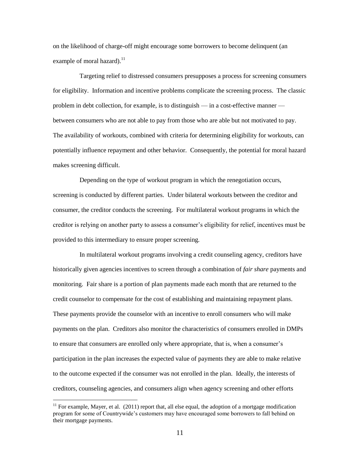on the likelihood of charge-off might encourage some borrowers to become delinquent (an example of moral hazard). $^{11}$ 

Targeting relief to distressed consumers presupposes a process for screening consumers for eligibility. Information and incentive problems complicate the screening process. The classic problem in debt collection, for example, is to distinguish — in a cost-effective manner between consumers who are not able to pay from those who are able but not motivated to pay. The availability of workouts, combined with criteria for determining eligibility for workouts, can potentially influence repayment and other behavior. Consequently, the potential for moral hazard makes screening difficult.

Depending on the type of workout program in which the renegotiation occurs, screening is conducted by different parties. Under bilateral workouts between the creditor and consumer, the creditor conducts the screening. For multilateral workout programs in which the creditor is relying on another party to assess a consumer's eligibility for relief, incentives must be provided to this intermediary to ensure proper screening.

In multilateral workout programs involving a credit counseling agency, creditors have historically given agencies incentives to screen through a combination of *fair share* payments and monitoring. Fair share is a portion of plan payments made each month that are returned to the credit counselor to compensate for the cost of establishing and maintaining repayment plans. These payments provide the counselor with an incentive to enroll consumers who will make payments on the plan. Creditors also monitor the characteristics of consumers enrolled in DMPs to ensure that consumers are enrolled only where appropriate, that is, when a consumer's participation in the plan increases the expected value of payments they are able to make relative to the outcome expected if the consumer was not enrolled in the plan. Ideally, the interests of creditors, counseling agencies, and consumers align when agency screening and other efforts

 $11$  For example, Mayer, et al. (2011) report that, all else equal, the adoption of a mortgage modification program for some of Countrywide's customers may have encouraged some borrowers to fall behind on their mortgage payments.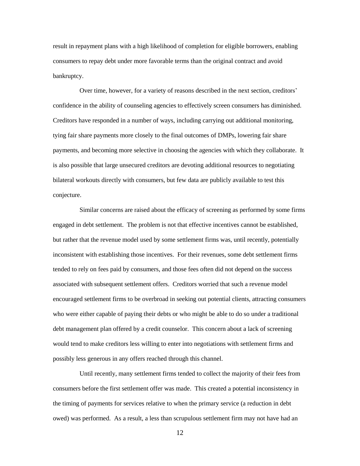result in repayment plans with a high likelihood of completion for eligible borrowers, enabling consumers to repay debt under more favorable terms than the original contract and avoid bankruptcy.

Over time, however, for a variety of reasons described in the next section, creditors' confidence in the ability of counseling agencies to effectively screen consumers has diminished. Creditors have responded in a number of ways, including carrying out additional monitoring, tying fair share payments more closely to the final outcomes of DMPs, lowering fair share payments, and becoming more selective in choosing the agencies with which they collaborate. It is also possible that large unsecured creditors are devoting additional resources to negotiating bilateral workouts directly with consumers, but few data are publicly available to test this conjecture.

Similar concerns are raised about the efficacy of screening as performed by some firms engaged in debt settlement. The problem is not that effective incentives cannot be established, but rather that the revenue model used by some settlement firms was, until recently, potentially inconsistent with establishing those incentives. For their revenues, some debt settlement firms tended to rely on fees paid by consumers, and those fees often did not depend on the success associated with subsequent settlement offers. Creditors worried that such a revenue model encouraged settlement firms to be overbroad in seeking out potential clients, attracting consumers who were either capable of paying their debts or who might be able to do so under a traditional debt management plan offered by a credit counselor. This concern about a lack of screening would tend to make creditors less willing to enter into negotiations with settlement firms and possibly less generous in any offers reached through this channel.

Until recently, many settlement firms tended to collect the majority of their fees from consumers before the first settlement offer was made. This created a potential inconsistency in the timing of payments for services relative to when the primary service (a reduction in debt owed) was performed. As a result, a less than scrupulous settlement firm may not have had an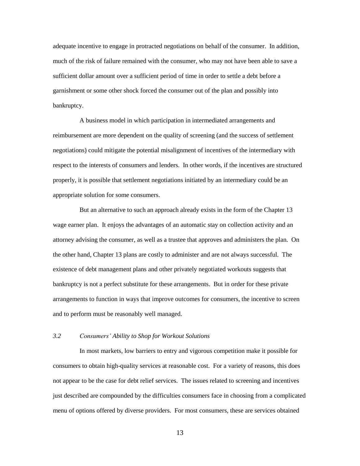adequate incentive to engage in protracted negotiations on behalf of the consumer. In addition, much of the risk of failure remained with the consumer, who may not have been able to save a sufficient dollar amount over a sufficient period of time in order to settle a debt before a garnishment or some other shock forced the consumer out of the plan and possibly into bankruptcy.

A business model in which participation in intermediated arrangements and reimbursement are more dependent on the quality of screening (and the success of settlement negotiations) could mitigate the potential misalignment of incentives of the intermediary with respect to the interests of consumers and lenders. In other words, if the incentives are structured properly, it is possible that settlement negotiations initiated by an intermediary could be an appropriate solution for some consumers.

But an alternative to such an approach already exists in the form of the Chapter 13 wage earner plan. It enjoys the advantages of an automatic stay on collection activity and an attorney advising the consumer, as well as a trustee that approves and administers the plan. On the other hand, Chapter 13 plans are costly to administer and are not always successful. The existence of debt management plans and other privately negotiated workouts suggests that bankruptcy is not a perfect substitute for these arrangements. But in order for these private arrangements to function in ways that improve outcomes for consumers, the incentive to screen and to perform must be reasonably well managed.

### *3.2 Consumers' Ability to Shop for Workout Solutions*

In most markets, low barriers to entry and vigorous competition make it possible for consumers to obtain high-quality services at reasonable cost. For a variety of reasons, this does not appear to be the case for debt relief services. The issues related to screening and incentives just described are compounded by the difficulties consumers face in choosing from a complicated menu of options offered by diverse providers. For most consumers, these are services obtained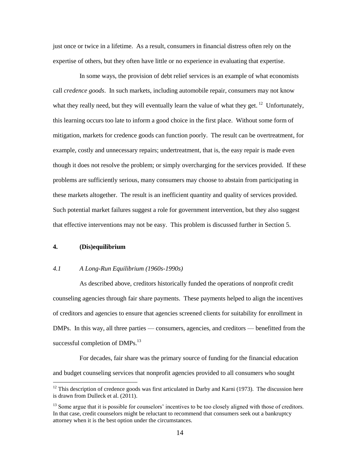just once or twice in a lifetime. As a result, consumers in financial distress often rely on the expertise of others, but they often have little or no experience in evaluating that expertise.

In some ways, the provision of debt relief services is an example of what economists call *credence goods*. In such markets, including automobile repair, consumers may not know what they really need, but they will eventually learn the value of what they get.  $12$  Unfortunately, this learning occurs too late to inform a good choice in the first place. Without some form of mitigation, markets for credence goods can function poorly. The result can be overtreatment, for example, costly and unnecessary repairs; undertreatment, that is, the easy repair is made even though it does not resolve the problem; or simply overcharging for the services provided. If these problems are sufficiently serious, many consumers may choose to abstain from participating in these markets altogether. The result is an inefficient quantity and quality of services provided. Such potential market failures suggest a role for government intervention, but they also suggest that effective interventions may not be easy. This problem is discussed further in Section 5.

# **4. (Dis)equilibrium**

 $\overline{a}$ 

#### *4.1 A Long-Run Equilibrium (1960s-1990s)*

As described above, creditors historically funded the operations of nonprofit credit counseling agencies through fair share payments. These payments helped to align the incentives of creditors and agencies to ensure that agencies screened clients for suitability for enrollment in DMPs. In this way, all three parties — consumers, agencies, and creditors — benefitted from the successful completion of DMPs.<sup>13</sup>

For decades, fair share was the primary source of funding for the financial education and budget counseling services that nonprofit agencies provided to all consumers who sought

 $12$  This description of credence goods was first articulated in Darby and Karni (1973). The discussion here is drawn from Dulleck et al. (2011).

<sup>&</sup>lt;sup>13</sup> Some argue that it is possible for counselors' incentives to be too closely aligned with those of creditors. In that case, credit counselors might be reluctant to recommend that consumers seek out a bankruptcy attorney when it is the best option under the circumstances.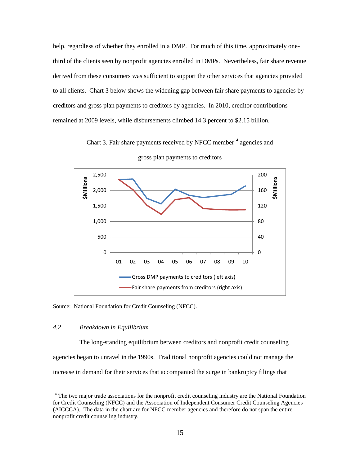help, regardless of whether they enrolled in a DMP. For much of this time, approximately onethird of the clients seen by nonprofit agencies enrolled in DMPs. Nevertheless, fair share revenue derived from these consumers was sufficient to support the other services that agencies provided to all clients. Chart 3 below shows the widening gap between fair share payments to agencies by creditors and gross plan payments to creditors by agencies. In 2010, creditor contributions remained at 2009 levels, while disbursements climbed 14.3 percent to \$2.15 billion.

Chart 3. Fair share payments received by NFCC member<sup>14</sup> agencies and



gross plan payments to creditors

Source: National Foundation for Credit Counseling (NFCC).

# *4.2 Breakdown in Equilibrium*

 $\overline{a}$ 

The long-standing equilibrium between creditors and nonprofit credit counseling agencies began to unravel in the 1990s. Traditional nonprofit agencies could not manage the increase in demand for their services that accompanied the surge in bankruptcy filings that

<sup>&</sup>lt;sup>14</sup> The two major trade associations for the nonprofit credit counseling industry are the National Foundation for Credit Counseling (NFCC) and the Association of Independent Consumer Credit Counseling Agencies (AICCCA). The data in the chart are for NFCC member agencies and therefore do not span the entire nonprofit credit counseling industry.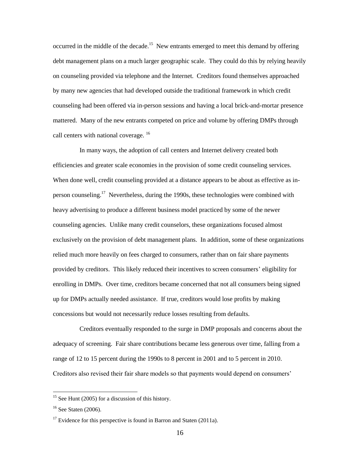occurred in the middle of the decade.<sup>15</sup> New entrants emerged to meet this demand by offering debt management plans on a much larger geographic scale. They could do this by relying heavily on counseling provided via telephone and the Internet. Creditors found themselves approached by many new agencies that had developed outside the traditional framework in which credit counseling had been offered via in-person sessions and having a local brick-and-mortar presence mattered. Many of the new entrants competed on price and volume by offering DMPs through call centers with national coverage. <sup>16</sup>

In many ways, the adoption of call centers and Internet delivery created both efficiencies and greater scale economies in the provision of some credit counseling services. When done well, credit counseling provided at a distance appears to be about as effective as inperson counseling.<sup>17</sup> Nevertheless, during the 1990s, these technologies were combined with heavy advertising to produce a different business model practiced by some of the newer counseling agencies. Unlike many credit counselors, these organizations focused almost exclusively on the provision of debt management plans. In addition, some of these organizations relied much more heavily on fees charged to consumers, rather than on fair share payments provided by creditors. This likely reduced their incentives to screen consumers' eligibility for enrolling in DMPs. Over time, creditors became concerned that not all consumers being signed up for DMPs actually needed assistance. If true, creditors would lose profits by making concessions but would not necessarily reduce losses resulting from defaults.

Creditors eventually responded to the surge in DMP proposals and concerns about the adequacy of screening. Fair share contributions became less generous over time, falling from a range of 12 to 15 percent during the 1990s to 8 percent in 2001 and to 5 percent in 2010. Creditors also revised their fair share models so that payments would depend on consumers'

 $15$  See Hunt (2005) for a discussion of this history.

 $16$  See Staten (2006).

 $17$  Evidence for this perspective is found in Barron and Staten (2011a).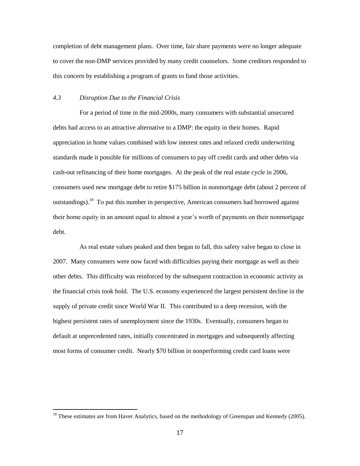completion of debt management plans. Over time, fair share payments were no longer adequate to cover the non-DMP services provided by many credit counselors. Some creditors responded to this concern by establishing a program of grants to fund those activities.

# *4.3 Disruption Due to the Financial Crisis*

 $\overline{a}$ 

For a period of time in the mid-2000s, many consumers with substantial unsecured debts had access to an attractive alternative to a DMP: the equity in their homes. Rapid appreciation in home values combined with low interest rates and relaxed credit underwriting standards made it possible for millions of consumers to pay off credit cards and other debts via cash-out refinancing of their home mortgages. At the peak of the real estate cycle in 2006, consumers used new mortgage debt to retire \$175 billion in nonmortgage debt (about 2 percent of outstandings).<sup>18</sup> To put this number in perspective, American consumers had borrowed against their home equity in an amount equal to almost a year's worth of payments on their nonmortgage debt.

As real estate values peaked and then began to fall, this safety valve began to close in 2007. Many consumers were now faced with difficulties paying their mortgage as well as their other debts. This difficulty was reinforced by the subsequent contraction in economic activity as the financial crisis took hold. The U.S. economy experienced the largest persistent decline in the supply of private credit since World War II. This contributed to a deep recession, with the highest persistent rates of unemployment since the 1930s. Eventually, consumers began to default at unprecedented rates, initially concentrated in mortgages and subsequently affecting most forms of consumer credit. Nearly \$70 billion in nonperforming credit card loans were

<sup>&</sup>lt;sup>18</sup> These estimates are from Haver Analytics, based on the methodology of Greenspan and Kennedy (2005).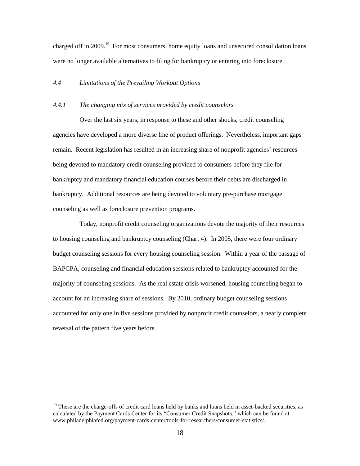charged off in 2009.<sup>19</sup> For most consumers, home equity loans and unsecured consolidation loans were no longer available alternatives to filing for bankruptcy or entering into foreclosure.

# *4.4 Limitations of the Prevailing Workout Options*

# *4.4.1 The changing mix of services provided by credit counselors*

Over the last six years, in response to these and other shocks, credit counseling agencies have developed a more diverse line of product offerings. Nevertheless, important gaps remain. Recent legislation has resulted in an increasing share of nonprofit agencies' resources being devoted to mandatory credit counseling provided to consumers before they file for bankruptcy and mandatory financial education courses before their debts are discharged in bankruptcy. Additional resources are being devoted to voluntary pre-purchase mortgage counseling as well as foreclosure prevention programs.

Today, nonprofit credit counseling organizations devote the majority of their resources to housing counseling and bankruptcy counseling (Chart 4). In 2005, there were four ordinary budget counseling sessions for every housing counseling session. Within a year of the passage of BAPCPA, counseling and financial education sessions related to bankruptcy accounted for the majority of counseling sessions. As the real estate crisis worsened, housing counseling began to account for an increasing share of sessions. By 2010, ordinary budget counseling sessions accounted for only one in five sessions provided by nonprofit credit counselors, a nearly complete reversal of the pattern five years before.

<sup>&</sup>lt;sup>19</sup> These are the charge-offs of credit card loans held by banks and loans held in asset-backed securities, as calculated by the Payment Cards Center for its "Consumer Credit Snapshots," which can be found at www.philadelphiafed.org/payment-cards-center/tools-for-researchers/consumer-statistics/.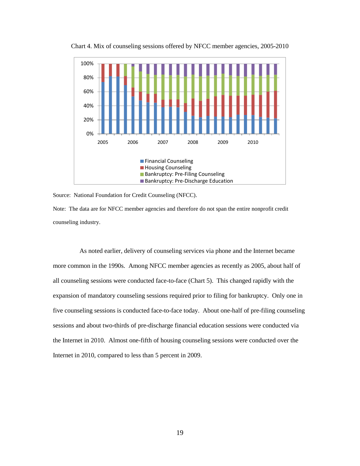

Chart 4. Mix of counseling sessions offered by NFCC member agencies, 2005-2010

Source: National Foundation for Credit Counseling (NFCC).

Note: The data are for NFCC member agencies and therefore do not span the entire nonprofit credit counseling industry.

As noted earlier, delivery of counseling services via phone and the Internet became more common in the 1990s. Among NFCC member agencies as recently as 2005, about half of all counseling sessions were conducted face-to-face (Chart 5). This changed rapidly with the expansion of mandatory counseling sessions required prior to filing for bankruptcy. Only one in five counseling sessions is conducted face-to-face today. About one-half of pre-filing counseling sessions and about two-thirds of pre-discharge financial education sessions were conducted via the Internet in 2010. Almost one-fifth of housing counseling sessions were conducted over the Internet in 2010, compared to less than 5 percent in 2009.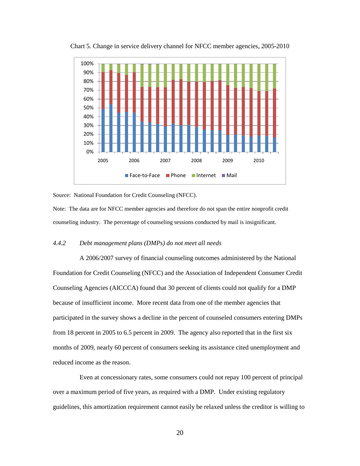

Chart 5. Change in service delivery channel for NFCC member agencies, 2005-2010

Source: National Foundation for Credit Counseling (NFCC).

Note: The data are for NFCC member agencies and therefore do not span the entire nonprofit credit counseling industry. The percentage of counseling sessions conducted by mail is insignificant.

## *4.4.2 Debt management plans (DMPs) do not meet all needs*

A 2006/2007 survey of financial counseling outcomes administered by the National Foundation for Credit Counseling (NFCC) and the Association of Independent Consumer Credit Counseling Agencies (AICCCA) found that 30 percent of clients could not qualify for a DMP because of insufficient income. More recent data from one of the member agencies that participated in the survey shows a decline in the percent of counseled consumers entering DMPs from 18 percent in 2005 to 6.5 percent in 2009. The agency also reported that in the first six months of 2009, nearly 60 percent of consumers seeking its assistance cited unemployment and reduced income as the reason.

Even at concessionary rates, some consumers could not repay 100 percent of principal over a maximum period of five years, as required with a DMP. Under existing regulatory guidelines, this amortization requirement cannot easily be relaxed unless the creditor is willing to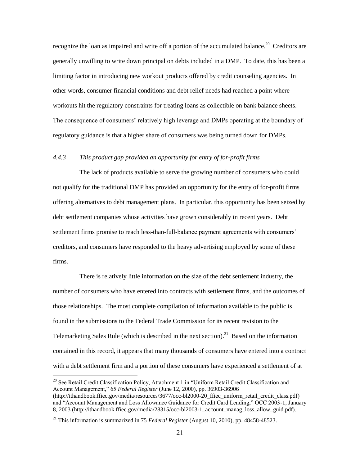recognize the loan as impaired and write off a portion of the accumulated balance.<sup>20</sup> Creditors are generally unwilling to write down principal on debts included in a DMP. To date, this has been a limiting factor in introducing new workout products offered by credit counseling agencies. In other words, consumer financial conditions and debt relief needs had reached a point where workouts hit the regulatory constraints for treating loans as collectible on bank balance sheets. The consequence of consumers' relatively high leverage and DMPs operating at the boundary of regulatory guidance is that a higher share of consumers was being turned down for DMPs.

# *4.4.3 This product gap provided an opportunity for entry of for-profit firms*

The lack of products available to serve the growing number of consumers who could not qualify for the traditional DMP has provided an opportunity for the entry of for-profit firms offering alternatives to debt management plans. In particular, this opportunity has been seized by debt settlement companies whose activities have grown considerably in recent years. Debt settlement firms promise to reach less-than-full-balance payment agreements with consumers' creditors, and consumers have responded to the heavy advertising employed by some of these firms.

There is relatively little information on the size of the debt settlement industry, the number of consumers who have entered into contracts with settlement firms, and the outcomes of those relationships. The most complete compilation of information available to the public is found in the submissions to the Federal Trade Commission for its recent revision to the Telemarketing Sales Rule (which is described in the next section).<sup>21</sup> Based on the information contained in this record, it appears that many thousands of consumers have entered into a contract with a debt settlement firm and a portion of these consumers have experienced a settlement of at

<sup>&</sup>lt;sup>20</sup> See Retail Credit Classification Policy, Attachment 1 in "Uniform Retail Credit Classification and Account Management," 65 *Federal Register* (June 12, 2000), pp. 36903-36906 (http://ithandbook.ffiec.gov/media/resources/3677/occ-bl2000-20\_ffiec\_uniform\_retail\_credit\_class.pdf) and "Account Management and Loss Allowance Guidance for Credit Card Lending," OCC 2003-1, January 8, 2003 (http://ithandbook.ffiec.gov/media/28315/occ-bl2003-1 account manag\_loss\_allow\_guid.pdf).

<sup>21</sup> This information is summarized in 75 *Federal Register* (August 10, 2010), pp. 48458-48523.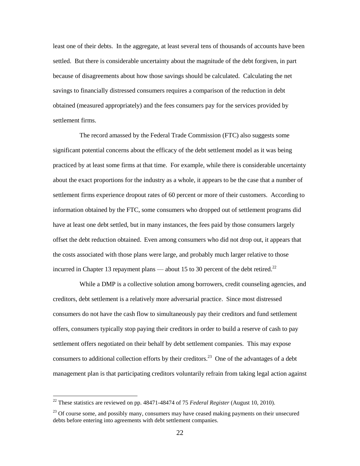least one of their debts. In the aggregate, at least several tens of thousands of accounts have been settled. But there is considerable uncertainty about the magnitude of the debt forgiven, in part because of disagreements about how those savings should be calculated. Calculating the net savings to financially distressed consumers requires a comparison of the reduction in debt obtained (measured appropriately) and the fees consumers pay for the services provided by settlement firms.

The record amassed by the Federal Trade Commission (FTC) also suggests some significant potential concerns about the efficacy of the debt settlement model as it was being practiced by at least some firms at that time. For example, while there is considerable uncertainty about the exact proportions for the industry as a whole, it appears to be the case that a number of settlement firms experience dropout rates of 60 percent or more of their customers. According to information obtained by the FTC, some consumers who dropped out of settlement programs did have at least one debt settled, but in many instances, the fees paid by those consumers largely offset the debt reduction obtained. Even among consumers who did not drop out, it appears that the costs associated with those plans were large, and probably much larger relative to those incurred in Chapter 13 repayment plans — about 15 to 30 percent of the debt retired.<sup>22</sup>

While a DMP is a collective solution among borrowers, credit counseling agencies, and creditors, debt settlement is a relatively more adversarial practice. Since most distressed consumers do not have the cash flow to simultaneously pay their creditors and fund settlement offers, consumers typically stop paying their creditors in order to build a reserve of cash to pay settlement offers negotiated on their behalf by debt settlement companies. This may expose consumers to additional collection efforts by their creditors.<sup>23</sup> One of the advantages of a debt management plan is that participating creditors voluntarily refrain from taking legal action against

<sup>22</sup> These statistics are reviewed on pp. 48471-48474 of 75 *Federal Register* (August 10, 2010).

<sup>&</sup>lt;sup>23</sup> Of course some, and possibly many, consumers may have ceased making payments on their unsecured debts before entering into agreements with debt settlement companies.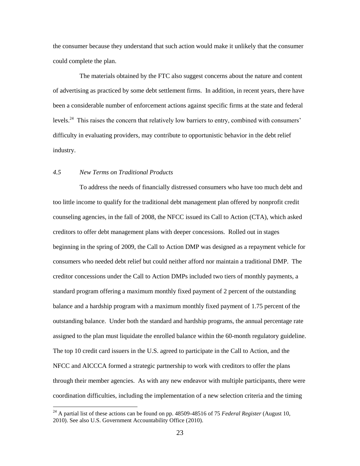the consumer because they understand that such action would make it unlikely that the consumer could complete the plan.

The materials obtained by the FTC also suggest concerns about the nature and content of advertising as practiced by some debt settlement firms. In addition, in recent years, there have been a considerable number of enforcement actions against specific firms at the state and federal levels.<sup>24</sup> This raises the concern that relatively low barriers to entry, combined with consumers' difficulty in evaluating providers, may contribute to opportunistic behavior in the debt relief industry.

### *4.5 New Terms on Traditional Products*

 $\overline{a}$ 

To address the needs of financially distressed consumers who have too much debt and too little income to qualify for the traditional debt management plan offered by nonprofit credit counseling agencies, in the fall of 2008, the NFCC issued its Call to Action (CTA), which asked creditors to offer debt management plans with deeper concessions. Rolled out in stages beginning in the spring of 2009, the Call to Action DMP was designed as a repayment vehicle for consumers who needed debt relief but could neither afford nor maintain a traditional DMP. The creditor concessions under the Call to Action DMPs included two tiers of monthly payments, a standard program offering a maximum monthly fixed payment of 2 percent of the outstanding balance and a hardship program with a maximum monthly fixed payment of 1.75 percent of the outstanding balance. Under both the standard and hardship programs, the annual percentage rate assigned to the plan must liquidate the enrolled balance within the 60-month regulatory guideline. The top 10 credit card issuers in the U.S. agreed to participate in the Call to Action, and the NFCC and AICCCA formed a strategic partnership to work with creditors to offer the plans through their member agencies. As with any new endeavor with multiple participants, there were coordination difficulties, including the implementation of a new selection criteria and the timing

<sup>24</sup> A partial list of these actions can be found on pp. 48509-48516 of 75 *Federal Register* (August 10, 2010). See also U.S. Government Accountability Office (2010).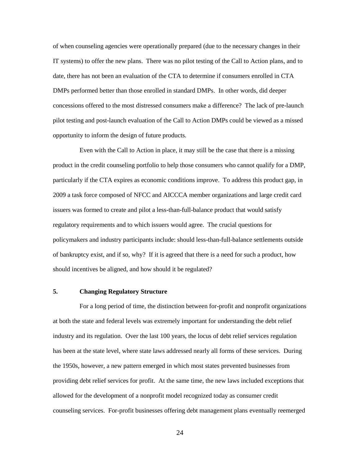of when counseling agencies were operationally prepared (due to the necessary changes in their IT systems) to offer the new plans. There was no pilot testing of the Call to Action plans, and to date, there has not been an evaluation of the CTA to determine if consumers enrolled in CTA DMPs performed better than those enrolled in standard DMPs. In other words, did deeper concessions offered to the most distressed consumers make a difference? The lack of pre-launch pilot testing and post-launch evaluation of the Call to Action DMPs could be viewed as a missed opportunity to inform the design of future products.

Even with the Call to Action in place, it may still be the case that there is a missing product in the credit counseling portfolio to help those consumers who cannot qualify for a DMP, particularly if the CTA expires as economic conditions improve. To address this product gap, in 2009 a task force composed of NFCC and AICCCA member organizations and large credit card issuers was formed to create and pilot a less-than-full-balance product that would satisfy regulatory requirements and to which issuers would agree. The crucial questions for policymakers and industry participants include: should less-than-full-balance settlements outside of bankruptcy exist, and if so, why? If it is agreed that there is a need for such a product, how should incentives be aligned, and how should it be regulated?

# **5. Changing Regulatory Structure**

For a long period of time, the distinction between for-profit and nonprofit organizations at both the state and federal levels was extremely important for understanding the debt relief industry and its regulation. Over the last 100 years, the locus of debt relief services regulation has been at the state level, where state laws addressed nearly all forms of these services. During the 1950s, however, a new pattern emerged in which most states prevented businesses from providing debt relief services for profit. At the same time, the new laws included exceptions that allowed for the development of a nonprofit model recognized today as consumer credit counseling services. For-profit businesses offering debt management plans eventually reemerged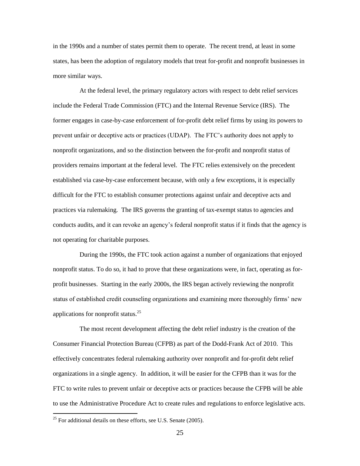in the 1990s and a number of states permit them to operate. The recent trend, at least in some states, has been the adoption of regulatory models that treat for-profit and nonprofit businesses in more similar ways.

At the federal level, the primary regulatory actors with respect to debt relief services include the Federal Trade Commission (FTC) and the Internal Revenue Service (IRS). The former engages in case-by-case enforcement of for-profit debt relief firms by using its powers to prevent unfair or deceptive acts or practices (UDAP). The FTC's authority does not apply to nonprofit organizations, and so the distinction between the for-profit and nonprofit status of providers remains important at the federal level. The FTC relies extensively on the precedent established via case-by-case enforcement because, with only a few exceptions, it is especially difficult for the FTC to establish consumer protections against unfair and deceptive acts and practices via rulemaking. The IRS governs the granting of tax-exempt status to agencies and conducts audits, and it can revoke an agency's federal nonprofit status if it finds that the agency is not operating for charitable purposes.

During the 1990s, the FTC took action against a number of organizations that enjoyed nonprofit status. To do so, it had to prove that these organizations were, in fact, operating as forprofit businesses. Starting in the early 2000s, the IRS began actively reviewing the nonprofit status of established credit counseling organizations and examining more thoroughly firms' new applications for nonprofit status.<sup>25</sup>

The most recent development affecting the debt relief industry is the creation of the Consumer Financial Protection Bureau (CFPB) as part of the Dodd-Frank Act of 2010. This effectively concentrates federal rulemaking authority over nonprofit and for-profit debt relief organizations in a single agency. In addition, it will be easier for the CFPB than it was for the FTC to write rules to prevent unfair or deceptive acts or practices because the CFPB will be able to use the Administrative Procedure Act to create rules and regulations to enforce legislative acts.

 $25$  For additional details on these efforts, see U.S. Senate (2005).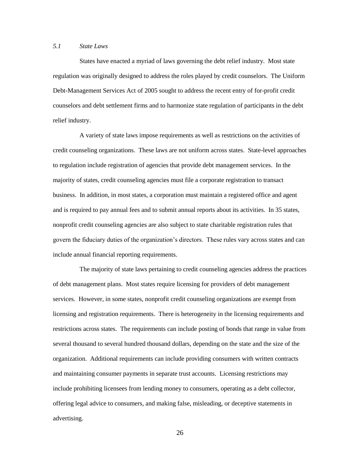# *5.1 State Laws*

States have enacted a myriad of laws governing the debt relief industry. Most state regulation was originally designed to address the roles played by credit counselors. The Uniform Debt-Management Services Act of 2005 sought to address the recent entry of for-profit credit counselors and debt settlement firms and to harmonize state regulation of participants in the debt relief industry.

A variety of state laws impose requirements as well as restrictions on the activities of credit counseling organizations. These laws are not uniform across states. State-level approaches to regulation include registration of agencies that provide debt management services. In the majority of states, credit counseling agencies must file a corporate registration to transact business. In addition, in most states, a corporation must maintain a registered office and agent and is required to pay annual fees and to submit annual reports about its activities. In 35 states, nonprofit credit counseling agencies are also subject to state charitable registration rules that govern the fiduciary duties of the organization's directors. These rules vary across states and can include annual financial reporting requirements.

The majority of state laws pertaining to credit counseling agencies address the practices of debt management plans. Most states require licensing for providers of debt management services. However, in some states, nonprofit credit counseling organizations are exempt from licensing and registration requirements. There is heterogeneity in the licensing requirements and restrictions across states. The requirements can include posting of bonds that range in value from several thousand to several hundred thousand dollars, depending on the state and the size of the organization. Additional requirements can include providing consumers with written contracts and maintaining consumer payments in separate trust accounts. Licensing restrictions may include prohibiting licensees from lending money to consumers, operating as a debt collector, offering legal advice to consumers, and making false, misleading, or deceptive statements in advertising.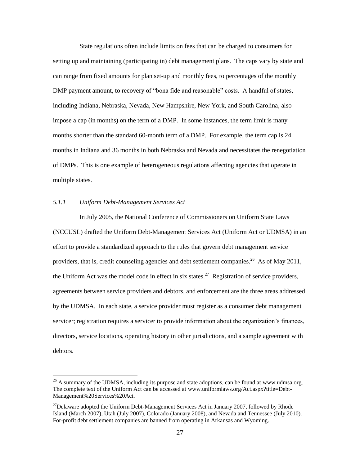State regulations often include limits on fees that can be charged to consumers for setting up and maintaining (participating in) debt management plans. The caps vary by state and can range from fixed amounts for plan set-up and monthly fees, to percentages of the monthly DMP payment amount, to recovery of "bona fide and reasonable" costs. A handful of states, including Indiana, Nebraska, Nevada, New Hampshire, New York, and South Carolina, also impose a cap (in months) on the term of a DMP. In some instances, the term limit is many months shorter than the standard 60-month term of a DMP. For example, the term cap is 24 months in Indiana and 36 months in both Nebraska and Nevada and necessitates the renegotiation of DMPs. This is one example of heterogeneous regulations affecting agencies that operate in multiple states.

# *5.1.1 Uniform Debt-Management Services Act*

 $\overline{a}$ 

In July 2005, the National Conference of Commissioners on Uniform State Laws (NCCUSL) drafted the Uniform Debt-Management Services Act (Uniform Act or UDMSA) in an effort to provide a standardized approach to the rules that govern debt management service providers, that is, credit counseling agencies and debt settlement companies.<sup>26</sup> As of May 2011, the Uniform Act was the model code in effect in six states.<sup>27</sup> Registration of service providers, agreements between service providers and debtors, and enforcement are the three areas addressed by the UDMSA. In each state, a service provider must register as a consumer debt management servicer; registration requires a servicer to provide information about the organization's finances, directors, service locations, operating history in other jurisdictions, and a sample agreement with debtors.

 $^{26}$  A summary of the UDMSA, including its purpose and state adoptions, can be found at www.udmsa.org. The complete text of the Uniform Act can be accessed at www.uniformlaws.org/Act.aspx?title=Debt-Management%20Services%20Act.

 $27$ Delaware adopted the Uniform Debt-Management Services Act in January 2007, followed by Rhode Island (March 2007), Utah (July 2007), Colorado (January 2008), and Nevada and Tennessee (July 2010). For-profit debt settlement companies are banned from operating in Arkansas and Wyoming.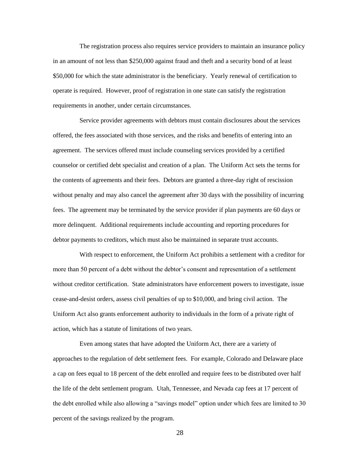The registration process also requires service providers to maintain an insurance policy in an amount of not less than \$250,000 against fraud and theft and a security bond of at least \$50,000 for which the state administrator is the beneficiary. Yearly renewal of certification to operate is required. However, proof of registration in one state can satisfy the registration requirements in another, under certain circumstances.

Service provider agreements with debtors must contain disclosures about the services offered, the fees associated with those services, and the risks and benefits of entering into an agreement. The services offered must include counseling services provided by a certified counselor or certified debt specialist and creation of a plan. The Uniform Act sets the terms for the contents of agreements and their fees. Debtors are granted a three-day right of rescission without penalty and may also cancel the agreement after 30 days with the possibility of incurring fees. The agreement may be terminated by the service provider if plan payments are 60 days or more delinquent. Additional requirements include accounting and reporting procedures for debtor payments to creditors, which must also be maintained in separate trust accounts.

With respect to enforcement, the Uniform Act prohibits a settlement with a creditor for more than 50 percent of a debt without the debtor's consent and representation of a settlement without creditor certification. State administrators have enforcement powers to investigate, issue cease-and-desist orders, assess civil penalties of up to \$10,000, and bring civil action. The Uniform Act also grants enforcement authority to individuals in the form of a private right of action, which has a statute of limitations of two years.

Even among states that have adopted the Uniform Act, there are a variety of approaches to the regulation of debt settlement fees. For example, Colorado and Delaware place a cap on fees equal to 18 percent of the debt enrolled and require fees to be distributed over half the life of the debt settlement program. Utah, Tennessee, and Nevada cap fees at 17 percent of the debt enrolled while also allowing a "savings model" option under which fees are limited to 30 percent of the savings realized by the program.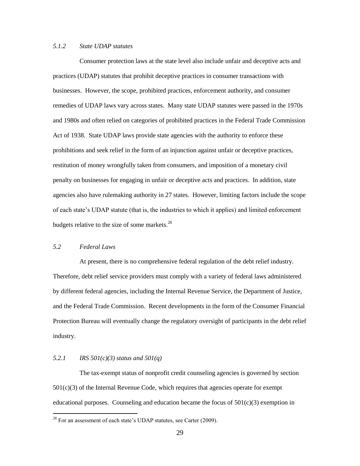# *5.1.2 State UDAP statutes*

Consumer protection laws at the state level also include unfair and deceptive acts and practices (UDAP) statutes that prohibit deceptive practices in consumer transactions with businesses. However, the scope, prohibited practices, enforcement authority, and consumer remedies of UDAP laws vary across states. Many state UDAP statutes were passed in the 1970s and 1980s and often relied on categories of prohibited practices in the Federal Trade Commission Act of 1938. State UDAP laws provide state agencies with the authority to enforce these prohibitions and seek relief in the form of an injunction against unfair or deceptive practices, restitution of money wrongfully taken from consumers, and imposition of a monetary civil penalty on businesses for engaging in unfair or deceptive acts and practices. In addition, state agencies also have rulemaking authority in 27 states. However, limiting factors include the scope of each state's UDAP statute (that is, the industries to which it applies) and limited enforcement budgets relative to the size of some markets. $28$ 

# *5.2 Federal Laws*

 $\overline{a}$ 

At present, there is no comprehensive federal regulation of the debt relief industry. Therefore, debt relief service providers must comply with a variety of federal laws administered by different federal agencies, including the Internal Revenue Service, the Department of Justice, and the Federal Trade Commission. Recent developments in the form of the Consumer Financial Protection Bureau will eventually change the regulatory oversight of participants in the debt relief industry.

# *5.2.1 IRS 501(c)(3) status and 501(q)*

The tax-exempt status of nonprofit credit counseling agencies is governed by section  $501(c)(3)$  of the Internal Revenue Code, which requires that agencies operate for exempt educational purposes. Counseling and education became the focus of  $501(c)(3)$  exemption in

 $^{28}$  For an assessment of each state's UDAP statutes, see Carter (2009).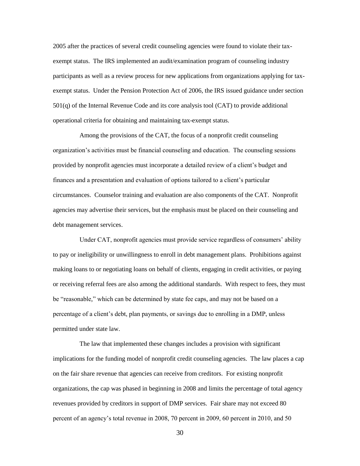2005 after the practices of several credit counseling agencies were found to violate their taxexempt status. The IRS implemented an audit/examination program of counseling industry participants as well as a review process for new applications from organizations applying for taxexempt status. Under the Pension Protection Act of 2006, the IRS issued guidance under section 501(q) of the Internal Revenue Code and its core analysis tool (CAT) to provide additional operational criteria for obtaining and maintaining tax-exempt status.

Among the provisions of the CAT, the focus of a nonprofit credit counseling organization's activities must be financial counseling and education. The counseling sessions provided by nonprofit agencies must incorporate a detailed review of a client's budget and finances and a presentation and evaluation of options tailored to a client's particular circumstances. Counselor training and evaluation are also components of the CAT. Nonprofit agencies may advertise their services, but the emphasis must be placed on their counseling and debt management services.

Under CAT, nonprofit agencies must provide service regardless of consumers' ability to pay or ineligibility or unwillingness to enroll in debt management plans. Prohibitions against making loans to or negotiating loans on behalf of clients, engaging in credit activities, or paying or receiving referral fees are also among the additional standards. With respect to fees, they must be "reasonable," which can be determined by state fee caps, and may not be based on a percentage of a client's debt, plan payments, or savings due to enrolling in a DMP, unless permitted under state law.

The law that implemented these changes includes a provision with significant implications for the funding model of nonprofit credit counseling agencies. The law places a cap on the fair share revenue that agencies can receive from creditors. For existing nonprofit organizations, the cap was phased in beginning in 2008 and limits the percentage of total agency revenues provided by creditors in support of DMP services. Fair share may not exceed 80 percent of an agency's total revenue in 2008, 70 percent in 2009, 60 percent in 2010, and 50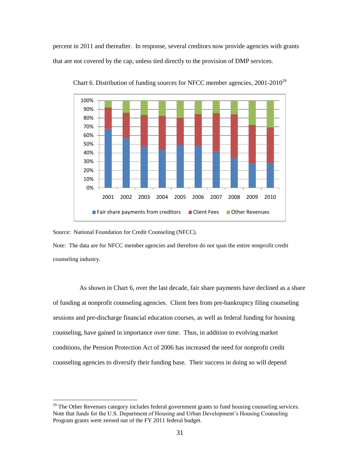percent in 2011 and thereafter. In response, several creditors now provide agencies with grants that are not covered by the cap, unless tied directly to the provision of DMP services.



Chart 6. Distribution of funding sources for NFCC member agencies,  $2001-2010^{29}$ 

Source: National Foundation for Credit Counseling (NFCC).

 $\overline{a}$ 

Note: The data are for NFCC member agencies and therefore do not span the entire nonprofit credit counseling industry.

As shown in Chart 6, over the last decade, fair share payments have declined as a share of funding at nonprofit counseling agencies. Client fees from pre-bankruptcy filing counseling sessions and pre-discharge financial education courses, as well as federal funding for housing counseling, have gained in importance over time. Thus, in addition to evolving market conditions, the Pension Protection Act of 2006 has increased the need for nonprofit credit counseling agencies to diversify their funding base. Their success in doing so will depend

<sup>&</sup>lt;sup>29</sup> The Other Revenues category includes federal government grants to fund housing counseling services. Note that funds for the U.S. Department of Housing and Urban Development's Housing Counseling Program grants were zeroed out of the FY 2011 federal budget.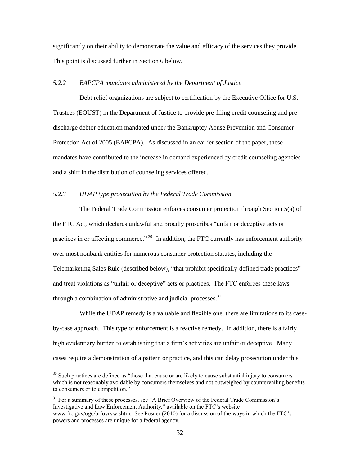significantly on their ability to demonstrate the value and efficacy of the services they provide. This point is discussed further in Section 6 below.

# *5.2.2 BAPCPA mandates administered by the Department of Justice*

Debt relief organizations are subject to certification by the Executive Office for U.S. Trustees (EOUST) in the Department of Justice to provide pre-filing credit counseling and predischarge debtor education mandated under the Bankruptcy Abuse Prevention and Consumer Protection Act of 2005 (BAPCPA). As discussed in an earlier section of the paper, these mandates have contributed to the increase in demand experienced by credit counseling agencies and a shift in the distribution of counseling services offered.

# *5.2.3 UDAP type prosecution by the Federal Trade Commission*

 $\overline{a}$ 

The Federal Trade Commission enforces consumer protection through Section 5(a) of the FTC Act, which declares unlawful and broadly proscribes "unfair or deceptive acts or practices in or affecting commerce."<sup>30</sup>In addition, the FTC currently has enforcement authority over most nonbank entities for numerous consumer protection statutes, including the Telemarketing Sales Rule (described below), "that prohibit specifically-defined trade practices" and treat violations as "unfair or deceptive" acts or practices. The FTC enforces these laws through a combination of administrative and judicial processes. $31$ 

While the UDAP remedy is a valuable and flexible one, there are limitations to its caseby-case approach. This type of enforcement is a reactive remedy. In addition, there is a fairly high evidentiary burden to establishing that a firm's activities are unfair or deceptive. Many cases require a demonstration of a pattern or practice, and this can delay prosecution under this

 $30$  Such practices are defined as "those that cause or are likely to cause substantial injury to consumers which is not reasonably avoidable by consumers themselves and not outweighed by countervailing benefits to consumers or to competition."

 $31$  For a summary of these processes, see "A Brief Overview of the Federal Trade Commission's Investigative and Law Enforcement Authority," available on the FTC's website www.ftc.gov/ogc/brfovrvw.shtm. See Posner (2010) for a discussion of the ways in which the FTC's powers and processes are unique for a federal agency.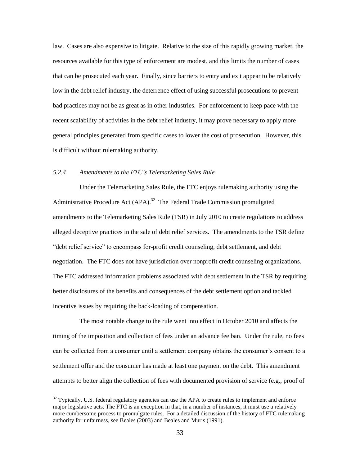law. Cases are also expensive to litigate. Relative to the size of this rapidly growing market, the resources available for this type of enforcement are modest, and this limits the number of cases that can be prosecuted each year. Finally, since barriers to entry and exit appear to be relatively low in the debt relief industry, the deterrence effect of using successful prosecutions to prevent bad practices may not be as great as in other industries. For enforcement to keep pace with the recent scalability of activities in the debt relief industry, it may prove necessary to apply more general principles generated from specific cases to lower the cost of prosecution. However, this is difficult without rulemaking authority.

# *5.2.4 Amendments to the FTC's Telemarketing Sales Rule*

 $\overline{a}$ 

Under the Telemarketing Sales Rule, the FTC enjoys rulemaking authority using the Administrative Procedure Act (APA).<sup>32</sup> The Federal Trade Commission promulgated amendments to the Telemarketing Sales Rule (TSR) in July 2010 to create regulations to address alleged deceptive practices in the sale of debt relief services. The amendments to the TSR define "debt relief service" to encompass for-profit credit counseling, debt settlement, and debt negotiation. The FTC does not have jurisdiction over nonprofit credit counseling organizations. The FTC addressed information problems associated with debt settlement in the TSR by requiring better disclosures of the benefits and consequences of the debt settlement option and tackled incentive issues by requiring the back-loading of compensation.

The most notable change to the rule went into effect in October 2010 and affects the timing of the imposition and collection of fees under an advance fee ban. Under the rule, no fees can be collected from a consumer until a settlement company obtains the consumer's consent to a settlement offer and the consumer has made at least one payment on the debt. This amendment attempts to better align the collection of fees with documented provision of service (e.g., proof of

 $32$  Typically, U.S. federal regulatory agencies can use the APA to create rules to implement and enforce major legislative acts. The FTC is an exception in that, in a number of instances, it must use a relatively more cumbersome process to promulgate rules. For a detailed discussion of the history of FTC rulemaking authority for unfairness, see Beales (2003) and Beales and Muris (1991).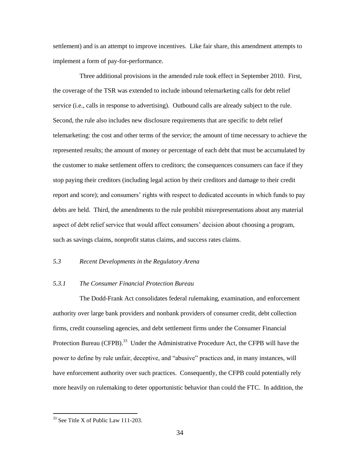settlement) and is an attempt to improve incentives. Like fair share, this amendment attempts to implement a form of pay-for-performance.

Three additional provisions in the amended rule took effect in September 2010. First, the coverage of the TSR was extended to include inbound telemarketing calls for debt relief service (i.e., calls in response to advertising). Outbound calls are already subject to the rule. Second, the rule also includes new disclosure requirements that are specific to debt relief telemarketing: the cost and other terms of the service; the amount of time necessary to achieve the represented results; the amount of money or percentage of each debt that must be accumulated by the customer to make settlement offers to creditors; the consequences consumers can face if they stop paying their creditors (including legal action by their creditors and damage to their credit report and score); and consumers' rights with respect to dedicated accounts in which funds to pay debts are held. Third, the amendments to the rule prohibit misrepresentations about any material aspect of debt relief service that would affect consumers' decision about choosing a program, such as savings claims, nonprofit status claims, and success rates claims.

# *5.3 Recent Developments in the Regulatory Arena*

# *5.3.1 The Consumer Financial Protection Bureau*

The Dodd-Frank Act consolidates federal rulemaking, examination, and enforcement authority over large bank providers and nonbank providers of consumer credit, debt collection firms, credit counseling agencies, and debt settlement firms under the Consumer Financial Protection Bureau (CFPB).<sup>33</sup> Under the Administrative Procedure Act, the CFPB will have the power to define by rule unfair, deceptive, and "abusive" practices and, in many instances, will have enforcement authority over such practices. Consequently, the CFPB could potentially rely more heavily on rulemaking to deter opportunistic behavior than could the FTC. In addition, the

<sup>&</sup>lt;sup>33</sup> See Title X of Public Law 111-203.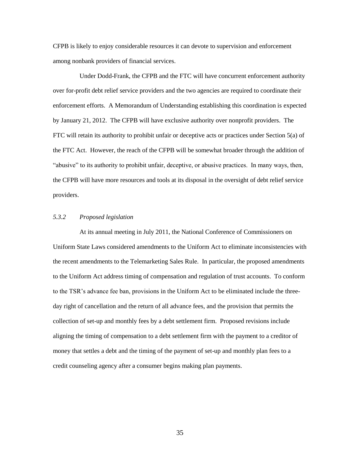CFPB is likely to enjoy considerable resources it can devote to supervision and enforcement among nonbank providers of financial services.

Under Dodd-Frank, the CFPB and the FTC will have concurrent enforcement authority over for-profit debt relief service providers and the two agencies are required to coordinate their enforcement efforts. A Memorandum of Understanding establishing this coordination is expected by January 21, 2012. The CFPB will have exclusive authority over nonprofit providers. The FTC will retain its authority to prohibit unfair or deceptive acts or practices under Section 5(a) of the FTC Act. However, the reach of the CFPB will be somewhat broader through the addition of "abusive" to its authority to prohibit unfair, deceptive, or abusive practices. In many ways, then, the CFPB will have more resources and tools at its disposal in the oversight of debt relief service providers.

# *5.3.2 Proposed legislation*

At its annual meeting in July 2011, the National Conference of Commissioners on Uniform State Laws considered amendments to the Uniform Act to eliminate inconsistencies with the recent amendments to the Telemarketing Sales Rule. In particular, the proposed amendments to the Uniform Act address timing of compensation and regulation of trust accounts. To conform to the TSR's advance fee ban, provisions in the Uniform Act to be eliminated include the threeday right of cancellation and the return of all advance fees, and the provision that permits the collection of set-up and monthly fees by a debt settlement firm. Proposed revisions include aligning the timing of compensation to a debt settlement firm with the payment to a creditor of money that settles a debt and the timing of the payment of set-up and monthly plan fees to a credit counseling agency after a consumer begins making plan payments.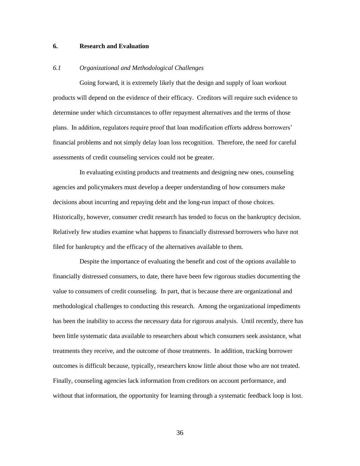## **6. Research and Evaluation**

#### *6.1 Organizational and Methodological Challenges*

Going forward, it is extremely likely that the design and supply of loan workout products will depend on the evidence of their efficacy. Creditors will require such evidence to determine under which circumstances to offer repayment alternatives and the terms of those plans. In addition, regulators require proof that loan modification efforts address borrowers' financial problems and not simply delay loan loss recognition. Therefore, the need for careful assessments of credit counseling services could not be greater.

In evaluating existing products and treatments and designing new ones, counseling agencies and policymakers must develop a deeper understanding of how consumers make decisions about incurring and repaying debt and the long-run impact of those choices. Historically, however, consumer credit research has tended to focus on the bankruptcy decision. Relatively few studies examine what happens to financially distressed borrowers who have not filed for bankruptcy and the efficacy of the alternatives available to them.

Despite the importance of evaluating the benefit and cost of the options available to financially distressed consumers, to date, there have been few rigorous studies documenting the value to consumers of credit counseling. In part, that is because there are organizational and methodological challenges to conducting this research. Among the organizational impediments has been the inability to access the necessary data for rigorous analysis. Until recently, there has been little systematic data available to researchers about which consumers seek assistance, what treatments they receive, and the outcome of those treatments. In addition, tracking borrower outcomes is difficult because, typically, researchers know little about those who are not treated. Finally, counseling agencies lack information from creditors on account performance, and without that information, the opportunity for learning through a systematic feedback loop is lost.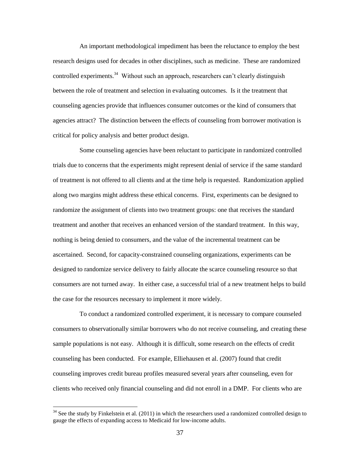An important methodological impediment has been the reluctance to employ the best research designs used for decades in other disciplines, such as medicine. These are randomized controlled experiments.<sup>34</sup> Without such an approach, researchers can't clearly distinguish between the role of treatment and selection in evaluating outcomes. Is it the treatment that counseling agencies provide that influences consumer outcomes or the kind of consumers that agencies attract? The distinction between the effects of counseling from borrower motivation is critical for policy analysis and better product design.

Some counseling agencies have been reluctant to participate in randomized controlled trials due to concerns that the experiments might represent denial of service if the same standard of treatment is not offered to all clients and at the time help is requested. Randomization applied along two margins might address these ethical concerns. First, experiments can be designed to randomize the assignment of clients into two treatment groups: one that receives the standard treatment and another that receives an enhanced version of the standard treatment. In this way, nothing is being denied to consumers, and the value of the incremental treatment can be ascertained. Second, for capacity-constrained counseling organizations, experiments can be designed to randomize service delivery to fairly allocate the scarce counseling resource so that consumers are not turned away. In either case, a successful trial of a new treatment helps to build the case for the resources necessary to implement it more widely.

To conduct a randomized controlled experiment, it is necessary to compare counseled consumers to observationally similar borrowers who do not receive counseling, and creating these sample populations is not easy. Although it is difficult, some research on the effects of credit counseling has been conducted. For example, Elliehausen et al. (2007) found that credit counseling improves credit bureau profiles measured several years after counseling, even for clients who received only financial counseling and did not enroll in a DMP. For clients who are

 $34$  See the study by Finkelstein et al. (2011) in which the researchers used a randomized controlled design to gauge the effects of expanding access to Medicaid for low-income adults.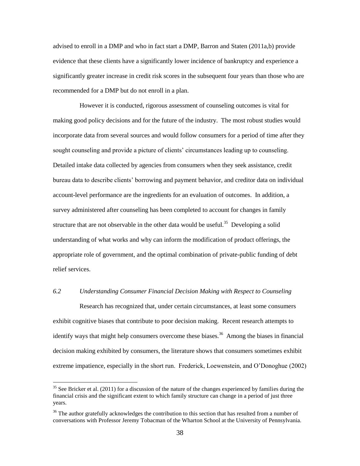advised to enroll in a DMP and who in fact start a DMP, Barron and Staten (2011a,b) provide evidence that these clients have a significantly lower incidence of bankruptcy and experience a significantly greater increase in credit risk scores in the subsequent four years than those who are recommended for a DMP but do not enroll in a plan.

However it is conducted, rigorous assessment of counseling outcomes is vital for making good policy decisions and for the future of the industry. The most robust studies would incorporate data from several sources and would follow consumers for a period of time after they sought counseling and provide a picture of clients' circumstances leading up to counseling. Detailed intake data collected by agencies from consumers when they seek assistance, credit bureau data to describe clients' borrowing and payment behavior, and creditor data on individual account-level performance are the ingredients for an evaluation of outcomes. In addition, a survey administered after counseling has been completed to account for changes in family structure that are not observable in the other data would be useful.<sup>35</sup> Developing a solid understanding of what works and why can inform the modification of product offerings, the appropriate role of government, and the optimal combination of private-public funding of debt relief services.

# *6.2 Understanding Consumer Financial Decision Making with Respect to Counseling*

Research has recognized that, under certain circumstances, at least some consumers exhibit cognitive biases that contribute to poor decision making. Recent research attempts to identify ways that might help consumers overcome these biases.<sup>36</sup> Among the biases in financial decision making exhibited by consumers, the literature shows that consumers sometimes exhibit extreme impatience, especially in the short run. Frederick, Loewenstein, and O'Donoghue (2002)

 $35$  See Bricker et al. (2011) for a discussion of the nature of the changes experienced by families during the financial crisis and the significant extent to which family structure can change in a period of just three years.

<sup>&</sup>lt;sup>36</sup> The author gratefully acknowledges the contribution to this section that has resulted from a number of conversations with Professor Jeremy Tobacman of the Wharton School at the University of Pennsylvania.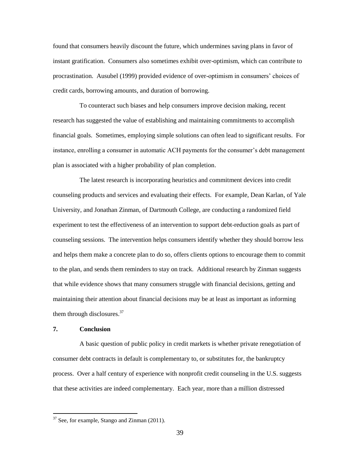found that consumers heavily discount the future, which undermines saving plans in favor of instant gratification. Consumers also sometimes exhibit over-optimism, which can contribute to procrastination. Ausubel (1999) provided evidence of over-optimism in consumers' choices of credit cards, borrowing amounts, and duration of borrowing.

To counteract such biases and help consumers improve decision making, recent research has suggested the value of establishing and maintaining commitments to accomplish financial goals. Sometimes, employing simple solutions can often lead to significant results. For instance, enrolling a consumer in automatic ACH payments for the consumer's debt management plan is associated with a higher probability of plan completion.

The latest research is incorporating heuristics and commitment devices into credit counseling products and services and evaluating their effects. For example, Dean Karlan, of Yale University, and Jonathan Zinman, of Dartmouth College, are conducting a randomized field experiment to test the effectiveness of an intervention to support debt-reduction goals as part of counseling sessions. The intervention helps consumers identify whether they should borrow less and helps them make a concrete plan to do so, offers clients options to encourage them to commit to the plan, and sends them reminders to stay on track. Additional research by Zinman suggests that while evidence shows that many consumers struggle with financial decisions, getting and maintaining their attention about financial decisions may be at least as important as informing them through disclosures. $37$ 

# **7. Conclusion**

 $\overline{a}$ 

A basic question of public policy in credit markets is whether private renegotiation of consumer debt contracts in default is complementary to, or substitutes for, the bankruptcy process. Over a half century of experience with nonprofit credit counseling in the U.S. suggests that these activities are indeed complementary. Each year, more than a million distressed

 $37$  See, for example, Stango and Zinman (2011).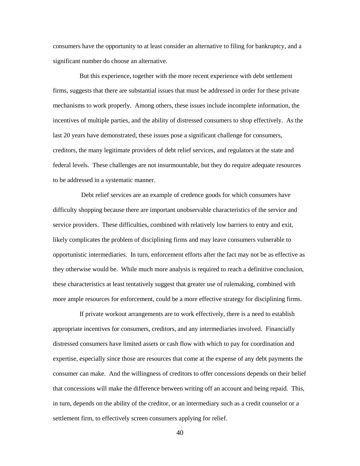consumers have the opportunity to at least consider an alternative to filing for bankruptcy, and a significant number do choose an alternative.

But this experience, together with the more recent experience with debt settlement firms, suggests that there are substantial issues that must be addressed in order for these private mechanisms to work properly. Among others, these issues include incomplete information, the incentives of multiple parties, and the ability of distressed consumers to shop effectively. As the last 20 years have demonstrated, these issues pose a significant challenge for consumers, creditors, the many legitimate providers of debt relief services, and regulators at the state and federal levels. These challenges are not insurmountable, but they do require adequate resources to be addressed in a systematic manner.

Debt relief services are an example of credence goods for which consumers have difficulty shopping because there are important unobservable characteristics of the service and service providers. These difficulties, combined with relatively low barriers to entry and exit, likely complicates the problem of disciplining firms and may leave consumers vulnerable to opportunistic intermediaries. In turn, enforcement efforts after the fact may not be as effective as they otherwise would be. While much more analysis is required to reach a definitive conclusion, these characteristics at least tentatively suggest that greater use of rulemaking, combined with more ample resources for enforcement, could be a more effective strategy for disciplining firms.

If private workout arrangements are to work effectively, there is a need to establish appropriate incentives for consumers, creditors, and any intermediaries involved. Financially distressed consumers have limited assets or cash flow with which to pay for coordination and expertise, especially since those are resources that come at the expense of any debt payments the consumer can make. And the willingness of creditors to offer concessions depends on their belief that concessions will make the difference between writing off an account and being repaid. This, in turn, depends on the ability of the creditor, or an intermediary such as a credit counselor or a settlement firm, to effectively screen consumers applying for relief.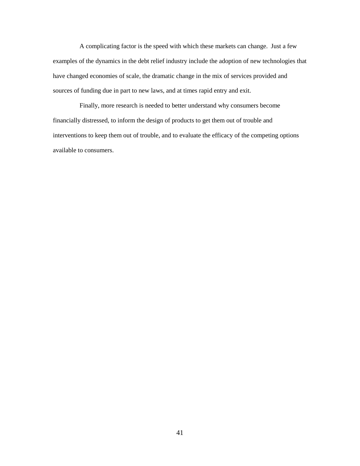A complicating factor is the speed with which these markets can change. Just a few examples of the dynamics in the debt relief industry include the adoption of new technologies that have changed economies of scale, the dramatic change in the mix of services provided and sources of funding due in part to new laws, and at times rapid entry and exit.

Finally, more research is needed to better understand why consumers become financially distressed, to inform the design of products to get them out of trouble and interventions to keep them out of trouble, and to evaluate the efficacy of the competing options available to consumers.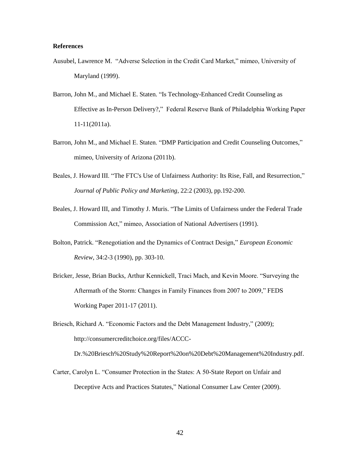#### **References**

- Ausubel, Lawrence M. "Adverse Selection in the Credit Card Market," mimeo, University of Maryland (1999).
- Barron, John M., and Michael E. Staten. "Is Technology-Enhanced Credit Counseling as Effective as In-Person Delivery?," Federal Reserve Bank of Philadelphia Working Paper 11-11(2011a).
- Barron, John M., and Michael E. Staten. "DMP Participation and Credit Counseling Outcomes," mimeo, University of Arizona (2011b).
- Beales, J. Howard III. "The FTC's Use of Unfairness Authority: Its Rise, Fall, and Resurrection," *Journal of Public Policy and Marketing*, 22:2 (2003), pp.192-200.
- Beales, J. Howard III, and Timothy J. Muris. "The Limits of Unfairness under the Federal Trade Commission Act," mimeo, Association of National Advertisers (1991).
- Bolton, Patrick. "Renegotiation and the Dynamics of Contract Design," *European Economic Review*, 34:2-3 (1990), pp. 303-10.
- Bricker, Jesse, Brian Bucks, Arthur Kennickell, Traci Mach, and Kevin Moore. "Surveying the Aftermath of the Storm: Changes in Family Finances from 2007 to 2009," FEDS Working Paper 2011-17 (2011).

Briesch, Richard A. "Economic Factors and the Debt Management Industry," (2009); http://consumercreditchoice.org/files/ACCC-Dr.%20Briesch%20Study%20Report%20on%20Debt%20Management%20Industry.pdf.

Carter, Carolyn L. "Consumer Protection in the States: A 50-State Report on Unfair and Deceptive Acts and Practices Statutes," National Consumer Law Center (2009).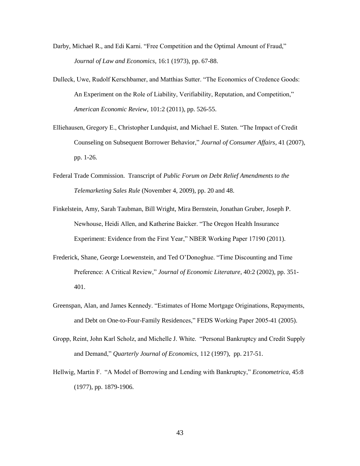- Darby, Michael R., and Edi Karni. "Free Competition and the Optimal Amount of Fraud," *Journal of Law and Economics*, 16:1 (1973), pp. 67-88.
- Dulleck, Uwe, Rudolf Kerschbamer, and Matthias Sutter. "The Economics of Credence Goods: An Experiment on the Role of Liability, Verifiability, Reputation, and Competition," *American Economic Review*, 101:2 (2011), pp. 526-55.
- Elliehausen, Gregory E., Christopher Lundquist, and Michael E. Staten. "The Impact of Credit Counseling on Subsequent Borrower Behavior," *Journal of Consumer Affairs*, 41 (2007), pp. 1-26.
- Federal Trade Commission. Transcript of *Public Forum on Debt Relief Amendments to the Telemarketing Sales Rule* (November 4, 2009), pp. 20 and 48.
- Finkelstein, Amy, Sarah Taubman, Bill Wright, Mira Bernstein, Jonathan Gruber, Joseph P. Newhouse, Heidi Allen, and Katherine Baicker. "The Oregon Health Insurance Experiment: Evidence from the First Year," NBER Working Paper 17190 (2011).
- Frederick, Shane, George Loewenstein, and Ted O'Donoghue. "Time Discounting and Time Preference: A Critical Review," *Journal of Economic Literature*, 40:2 (2002), pp. 351- 401.
- Greenspan, Alan, and James Kennedy. "Estimates of Home Mortgage Originations, Repayments, and Debt on One-to-Four-Family Residences," FEDS Working Paper 2005-41 (2005).
- Gropp, Reint, John Karl Scholz, and Michelle J. White. "Personal Bankruptcy and Credit Supply and Demand," *Quarterly Journal of Economics*, 112 (1997), pp. 217-51.
- Hellwig, Martin F. "A Model of Borrowing and Lending with Bankruptcy," *Econometrica*, 45:8 (1977), pp. 1879-1906.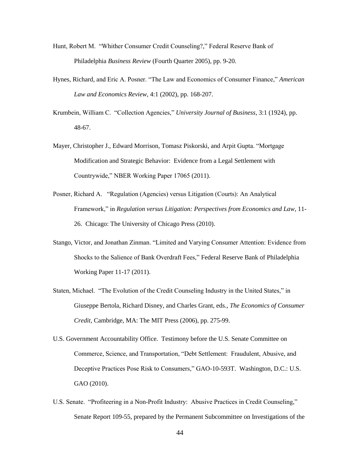- Hunt, Robert M. "Whither Consumer Credit Counseling?," Federal Reserve Bank of Philadelphia *Business Review* (Fourth Quarter 2005), pp. 9-20.
- Hynes, Richard, and Eric A. Posner. "The Law and Economics of Consumer Finance," *American Law and Economics Review*, 4:1 (2002), pp. 168-207.
- Krumbein, William C. "Collection Agencies," *University Journal of Business*, 3:1 (1924), pp. 48-67.
- Mayer, Christopher J., Edward Morrison, Tomasz Piskorski, and Arpit Gupta. "Mortgage Modification and Strategic Behavior: Evidence from a Legal Settlement with Countrywide," NBER Working Paper 17065 (2011).
- Posner, Richard A. "Regulation (Agencies) versus Litigation (Courts): An Analytical Framework," in *Regulation versus Litigation: Perspectives from Economics and Law*, 11- 26. Chicago: The University of Chicago Press (2010).
- Stango, Victor, and Jonathan Zinman. "Limited and Varying Consumer Attention: Evidence from Shocks to the Salience of Bank Overdraft Fees," Federal Reserve Bank of Philadelphia Working Paper 11-17 (2011).
- Staten, Michael. "The Evolution of the Credit Counseling Industry in the United States," in Giuseppe Bertola, Richard Disney, and Charles Grant, eds., *The Economics of Consumer Credit*, Cambridge, MA: The MIT Press (2006), pp. 275-99.
- U.S. Government Accountability Office. Testimony before the U.S. Senate Committee on Commerce, Science, and Transportation, "Debt Settlement: Fraudulent, Abusive, and Deceptive Practices Pose Risk to Consumers," GAO-10-593T. Washington, D.C.: U.S. GAO (2010).
- U.S. Senate. "Profiteering in a Non-Profit Industry: Abusive Practices in Credit Counseling," Senate Report 109-55, prepared by the Permanent Subcommittee on Investigations of the